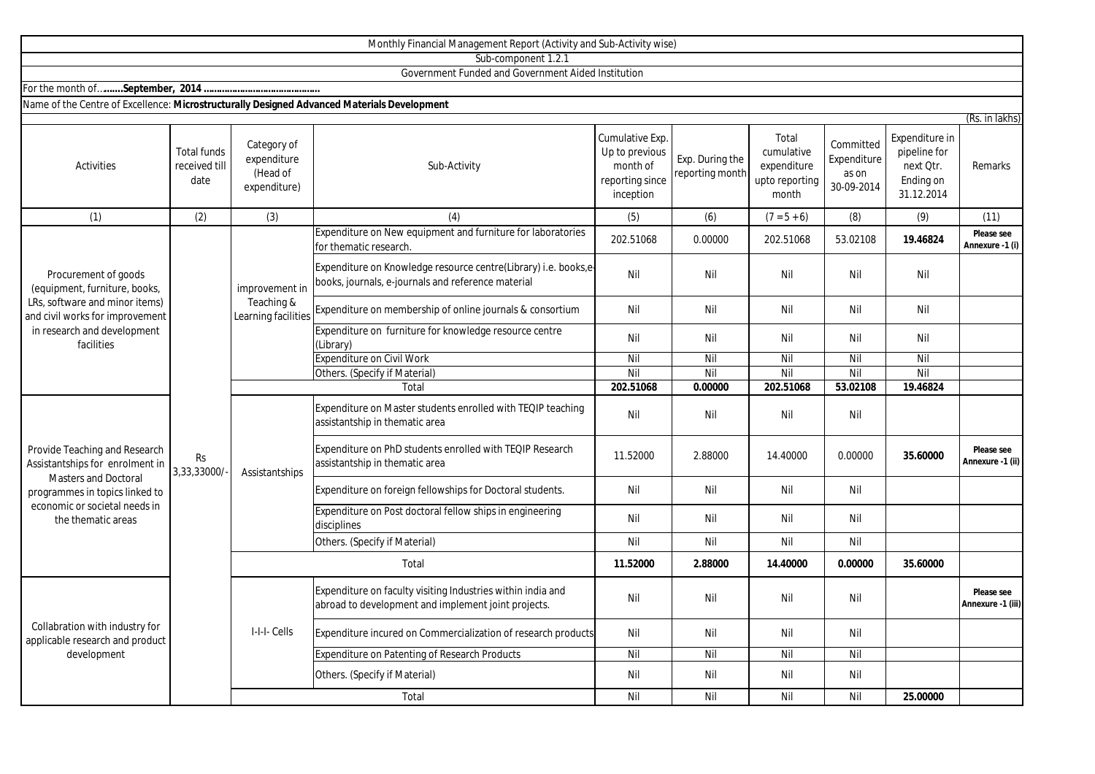|                                                                                                                                                                                          |                                             |                                                        | Monthly Financial Management Report (Activity and Sub-Activity wise)                                                  |                                                                               |                                    |                                                               |                                                 |                                                                        |                                 |
|------------------------------------------------------------------------------------------------------------------------------------------------------------------------------------------|---------------------------------------------|--------------------------------------------------------|-----------------------------------------------------------------------------------------------------------------------|-------------------------------------------------------------------------------|------------------------------------|---------------------------------------------------------------|-------------------------------------------------|------------------------------------------------------------------------|---------------------------------|
|                                                                                                                                                                                          |                                             |                                                        | Sub-component 1.2.1                                                                                                   |                                                                               |                                    |                                                               |                                                 |                                                                        |                                 |
|                                                                                                                                                                                          |                                             |                                                        | Government Funded and Government Aided Institution                                                                    |                                                                               |                                    |                                                               |                                                 |                                                                        |                                 |
|                                                                                                                                                                                          |                                             |                                                        |                                                                                                                       |                                                                               |                                    |                                                               |                                                 |                                                                        |                                 |
| Name of the Centre of Excellence: Microstructurally Designed Advanced Materials Development                                                                                              |                                             |                                                        |                                                                                                                       |                                                                               |                                    |                                                               |                                                 |                                                                        |                                 |
|                                                                                                                                                                                          |                                             |                                                        |                                                                                                                       |                                                                               |                                    |                                                               |                                                 |                                                                        | (Rs. in lakhs)                  |
| Activities                                                                                                                                                                               | <b>Total funds</b><br>received till<br>date | Category of<br>expenditure<br>(Head of<br>expenditure) | Sub-Activity                                                                                                          | Cumulative Exp.<br>Up to previous<br>month of<br>reporting since<br>inception | Exp. During the<br>reporting month | Total<br>cumulative<br>expenditure<br>upto reporting<br>month | Committed<br>Expenditure<br>as on<br>30-09-2014 | Expenditure in<br>pipeline for<br>next Otr.<br>Ending on<br>31.12.2014 | Remarks                         |
| (1)                                                                                                                                                                                      | (2)                                         | (3)                                                    | (4)                                                                                                                   | (5)                                                                           | (6)                                | $(7 = 5 + 6)$                                                 | (8)                                             | (9)                                                                    | (11)                            |
| Procurement of goods<br>(equipment, furniture, books,<br>LRs, software and minor items)<br>and civil works for improvement<br>in research and development<br>facilities                  | <b>Rs</b><br>3,33,33000/                    | improvement in<br>Teaching &<br>Learning facilities    | Expenditure on New equipment and furniture for laboratories<br>for thematic research                                  | 202.51068                                                                     | 0.00000                            | 202.51068                                                     | 53.02108                                        | 19.46824                                                               | Please see<br>Annexure -1 (i)   |
|                                                                                                                                                                                          |                                             |                                                        | Expenditure on Knowledge resource centre(Library) i.e. books,e-<br>books, journals, e-journals and reference material | Nil                                                                           | Nil                                | Nil                                                           | Nil                                             | Nil                                                                    |                                 |
|                                                                                                                                                                                          |                                             |                                                        | Expenditure on membership of online journals & consortium                                                             | Nil                                                                           | Nil                                | Nil                                                           | Nil                                             | Nil                                                                    |                                 |
|                                                                                                                                                                                          |                                             |                                                        | Expenditure on furniture for knowledge resource centre<br>(Library)                                                   | Nil                                                                           | Nil                                | Nil                                                           | Nil                                             | Nil                                                                    |                                 |
|                                                                                                                                                                                          |                                             |                                                        | Expenditure on Civil Work                                                                                             | Nil                                                                           | Nil                                | $\overline{N}$                                                | Nil                                             | Nil                                                                    |                                 |
|                                                                                                                                                                                          |                                             |                                                        | Others. (Specify if Material)                                                                                         | Nil                                                                           | Nil                                | Nil                                                           | Nil                                             | Nil                                                                    |                                 |
|                                                                                                                                                                                          |                                             |                                                        | Total                                                                                                                 | 202.51068                                                                     | 0.00000                            | 202.51068                                                     | 53.02108                                        | 19.46824                                                               |                                 |
| Provide Teaching and Research<br>Assistantships for enrolment in<br><b>Masters and Doctoral</b><br>programmes in topics linked to<br>economic or societal needs in<br>the thematic areas |                                             | Assistantships                                         | Expenditure on Master students enrolled with TEQIP teaching<br>assistantship in thematic area                         | Nil                                                                           | Nil                                | Nil                                                           | Nil                                             |                                                                        |                                 |
|                                                                                                                                                                                          |                                             |                                                        | Expenditure on PhD students enrolled with TEQIP Research<br>assistantship in thematic area                            | 11.52000                                                                      | 2.88000                            | 14.40000                                                      | 0.00000                                         | 35.60000                                                               | Please see<br>Annexure -1 (ii)  |
|                                                                                                                                                                                          |                                             |                                                        | Expenditure on foreign fellowships for Doctoral students.                                                             | Nil                                                                           | Nil                                | Nil                                                           | Nil                                             |                                                                        |                                 |
|                                                                                                                                                                                          |                                             |                                                        | Expenditure on Post doctoral fellow ships in engineering<br>disciplines                                               | Nil                                                                           | Nil                                | Nil                                                           | Nil                                             |                                                                        |                                 |
|                                                                                                                                                                                          |                                             |                                                        | Others. (Specify if Material)                                                                                         | Nil                                                                           | Nil                                | Nil                                                           | Nil                                             |                                                                        |                                 |
|                                                                                                                                                                                          |                                             | Total                                                  |                                                                                                                       | 11.52000                                                                      | 2.88000                            | 14.40000                                                      | 0.00000                                         | 35.60000                                                               |                                 |
| Collabration with industry for<br>applicable research and product<br>development                                                                                                         |                                             | I-I-I- Cells                                           | Expenditure on faculty visiting Industries within india and<br>abroad to development and implement joint projects.    | Nil                                                                           | Nil                                | Nil                                                           | Nil                                             |                                                                        | Please see<br>Annexure -1 (iii) |
|                                                                                                                                                                                          |                                             |                                                        | Expenditure incured on Commercialization of research products                                                         | Nil                                                                           | Nil                                | Nil                                                           | Nil                                             |                                                                        |                                 |
|                                                                                                                                                                                          |                                             |                                                        | Expenditure on Patenting of Research Products                                                                         | Nil                                                                           | Nil                                | Nil                                                           | Nil                                             |                                                                        |                                 |
|                                                                                                                                                                                          |                                             |                                                        | Others. (Specify if Material)                                                                                         | Nil                                                                           | Nil                                | Nil                                                           | Nil                                             |                                                                        |                                 |

Total

Nil Nil Nil Nil **25.00000**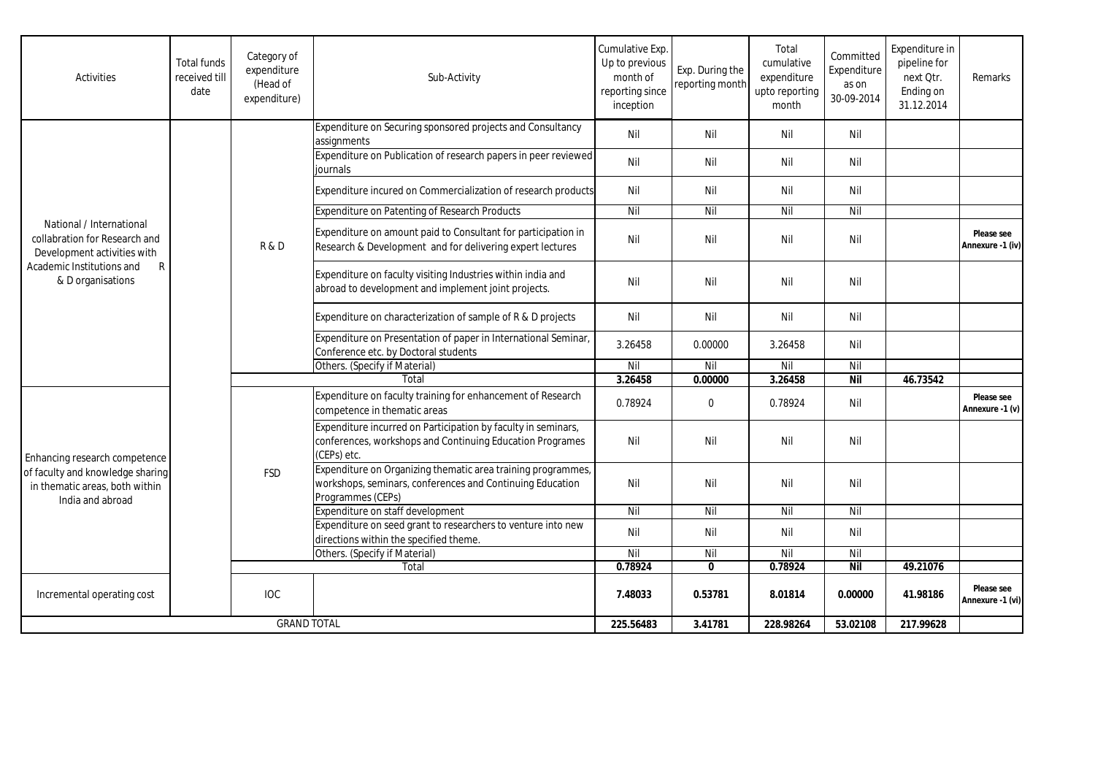| Activities                                                                                                                                      | <b>Total funds</b><br>received till<br>date | Category of<br>expenditure<br>(Head of<br>expenditure) | Sub-Activity                                                                                                                                   | Cumulative Exp.<br>Up to previous<br>month of<br>reporting since<br>inception | Exp. During the<br>reporting month | Total<br>cumulative<br>expenditure<br>upto reporting<br>month | Committed<br>Expenditure<br>as on<br>30-09-2014 | Expenditure in<br>pipeline for<br>next Qtr.<br>Ending on<br>31.12.2014 | Remarks                        |
|-------------------------------------------------------------------------------------------------------------------------------------------------|---------------------------------------------|--------------------------------------------------------|------------------------------------------------------------------------------------------------------------------------------------------------|-------------------------------------------------------------------------------|------------------------------------|---------------------------------------------------------------|-------------------------------------------------|------------------------------------------------------------------------|--------------------------------|
| National / International<br>collabration for Research and<br>Development activities with<br>Academic Institutions and<br>R<br>& D organisations |                                             | R&D                                                    | Expenditure on Securing sponsored projects and Consultancy<br>assignments                                                                      | Nil                                                                           | Nil                                | Nil                                                           | Nil                                             |                                                                        |                                |
|                                                                                                                                                 |                                             |                                                        | Expenditure on Publication of research papers in peer reviewed<br>iournals                                                                     | Nil                                                                           | Nil                                | Nil                                                           | Nil                                             |                                                                        |                                |
|                                                                                                                                                 |                                             |                                                        | Expenditure incured on Commercialization of research products                                                                                  | Nil                                                                           | Nil                                | Nil                                                           | Nil                                             |                                                                        |                                |
|                                                                                                                                                 |                                             |                                                        | Expenditure on Patenting of Research Products                                                                                                  | Nil                                                                           | Nil                                | Nil                                                           | Nil                                             |                                                                        |                                |
|                                                                                                                                                 |                                             |                                                        | Expenditure on amount paid to Consultant for participation in<br>Research & Development and for delivering expert lectures                     | Nil                                                                           | Nil                                | Nil                                                           | Nil                                             |                                                                        | Please see<br>Annexure -1 (iv) |
|                                                                                                                                                 |                                             |                                                        | Expenditure on faculty visiting Industries within india and<br>abroad to development and implement joint projects.                             | Nil                                                                           | Nil                                | Nil                                                           | Nil                                             |                                                                        |                                |
|                                                                                                                                                 |                                             |                                                        | Expenditure on characterization of sample of R & D projects                                                                                    | Nil                                                                           | Nil                                | Nil                                                           | Nil                                             |                                                                        |                                |
|                                                                                                                                                 |                                             |                                                        | Expenditure on Presentation of paper in International Seminar,<br>Conference etc. by Doctoral students                                         | 3.26458                                                                       | 0.00000                            | 3.26458                                                       | Nil                                             |                                                                        |                                |
|                                                                                                                                                 |                                             |                                                        | Others. (Specify if Material)                                                                                                                  | Nil                                                                           | Nil                                | Nil                                                           | Nil                                             |                                                                        |                                |
|                                                                                                                                                 |                                             | Total                                                  |                                                                                                                                                | 3.26458                                                                       | 0.00000                            | 3.26458                                                       | <b>Nil</b>                                      | 46.73542                                                               |                                |
| Enhancing research competence<br>of faculty and knowledge sharing<br>in thematic areas, both within<br>India and abroad                         |                                             | <b>FSD</b>                                             | Expenditure on faculty training for enhancement of Research<br>competence in thematic areas                                                    | 0.78924                                                                       | $\mathbf 0$                        | 0.78924                                                       | Nil                                             |                                                                        | Please see<br>Annexure -1 (v)  |
|                                                                                                                                                 |                                             |                                                        | Expenditure incurred on Participation by faculty in seminars,<br>conferences, workshops and Continuing Education Programes<br>(CEPs) etc.      | Nil                                                                           | Nil                                | Nil                                                           | Nil                                             |                                                                        |                                |
|                                                                                                                                                 |                                             |                                                        | Expenditure on Organizing thematic area training programmes,<br>workshops, seminars, conferences and Continuing Education<br>Programmes (CEPs) | Nil                                                                           | Nil                                | Nil                                                           | Nil                                             |                                                                        |                                |
|                                                                                                                                                 |                                             |                                                        | Expenditure on staff development                                                                                                               | Nil                                                                           | Nil                                | Nil                                                           | Nil                                             |                                                                        |                                |
|                                                                                                                                                 |                                             |                                                        | Expenditure on seed grant to researchers to venture into new<br>directions within the specified theme.                                         | Nil                                                                           | Nil                                | Nil                                                           | Nil                                             |                                                                        |                                |
|                                                                                                                                                 |                                             |                                                        | Others. (Specify if Material)                                                                                                                  | Nil                                                                           | Nil                                | Nil                                                           | Nil                                             |                                                                        |                                |
|                                                                                                                                                 |                                             |                                                        | Total                                                                                                                                          | 0.78924                                                                       | $\mathbf{0}$                       | 0.78924                                                       | <b>Nil</b>                                      | 49.21076                                                               |                                |
| Incremental operating cost                                                                                                                      |                                             | <b>IOC</b>                                             |                                                                                                                                                | 7.48033                                                                       | 0.53781                            | 8.01814                                                       | 0.00000                                         | 41.98186                                                               | Please see<br>Annexure -1 (vi) |
| <b>GRAND TOTAL</b>                                                                                                                              |                                             |                                                        | 225.56483                                                                                                                                      | 3.41781                                                                       | 228.98264                          | 53.02108                                                      | 217.99628                                       |                                                                        |                                |